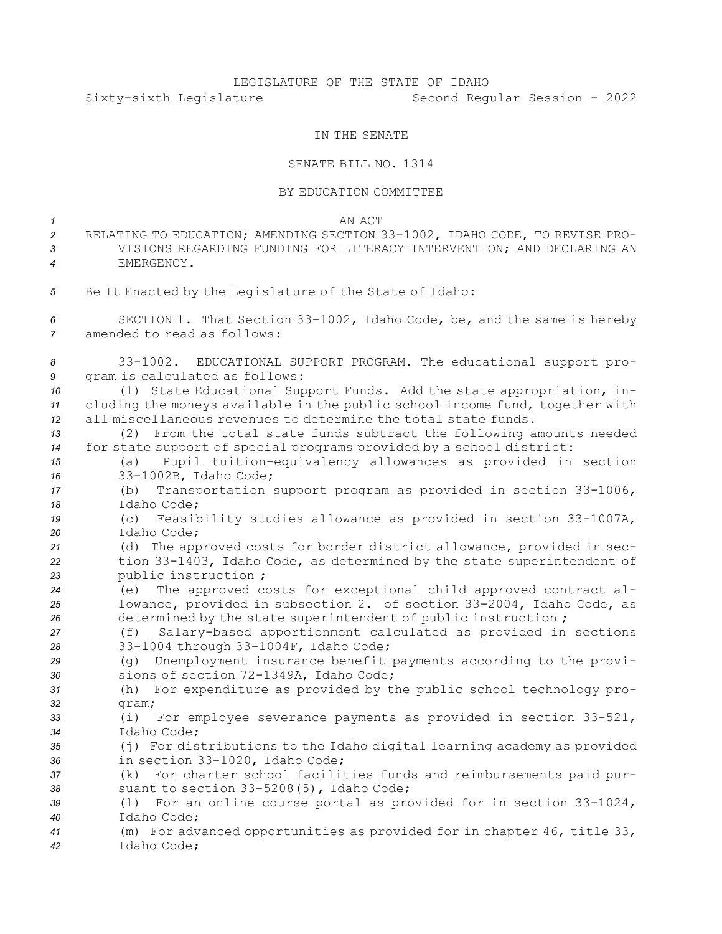## LEGISLATURE OF THE STATE OF IDAHO Sixty-sixth Legislature Second Regular Session - 2022

## IN THE SENATE

## SENATE BILL NO. 1314

## BY EDUCATION COMMITTEE

*1* AN ACT

- *<sup>2</sup>* RELATING TO EDUCATION; AMENDING SECTION 33-1002, IDAHO CODE, TO REVISE PRO-*3* VISIONS REGARDING FUNDING FOR LITERACY INTERVENTION; AND DECLARING AN *4* EMERGENCY.
- *<sup>5</sup>* Be It Enacted by the Legislature of the State of Idaho:
- *<sup>6</sup>* SECTION 1. That Section 33-1002, Idaho Code, be, and the same is hereby *7* amended to read as follows:
- *<sup>8</sup>* 33-1002. EDUCATIONAL SUPPORT PROGRAM. The educational support pro-*<sup>9</sup>* gram is calculated as follows:
- *<sup>10</sup>* (1) State Educational Support Funds. Add the state appropriation, in-*<sup>11</sup>* cluding the moneys available in the public school income fund, together with *12* all miscellaneous revenues to determine the total state funds.
- *<sup>13</sup>* (2) From the total state funds subtract the following amounts needed *<sup>14</sup>* for state support of special programs provided by <sup>a</sup> school district:
- *<sup>15</sup>* (a) Pupil tuition-equivalency allowances as provided in section *<sup>16</sup>* 33-1002B, Idaho Code;
- *<sup>17</sup>* (b) Transportation support program as provided in section 33-1006, *18* Idaho Code;
- *<sup>19</sup>* (c) Feasibility studies allowance as provided in section 33-1007A, *20* Idaho Code;
- *<sup>21</sup>* (d) The approved costs for border district allowance, provided in sec-*<sup>22</sup>* tion 33-1403, Idaho Code, as determined by the state superintendent of *<sup>23</sup>* public instruction ;
- *<sup>24</sup>* (e) The approved costs for exceptional child approved contract al-*<sup>25</sup>* lowance, provided in subsection 2. of section 33-2004, Idaho Code, as 26 determined by the state superintendent of public instruction ;
- *<sup>27</sup>* (f) Salary-based apportionment calculated as provided in sections *<sup>28</sup>* 33-1004 through 33-1004F, Idaho Code;
- *<sup>29</sup>* (g) Unemployment insurance benefit payments according to the provi-*<sup>30</sup>* sions of section 72-1349A, Idaho Code;
- *<sup>31</sup>* (h) For expenditure as provided by the public school technology pro-*32* gram;
- *<sup>33</sup>* (i) For employee severance payments as provided in section 33-521, *34* Idaho Code;
- *<sup>35</sup>* (j) For distributions to the Idaho digital learning academy as provided *<sup>36</sup>* in section 33-1020, Idaho Code;
- *<sup>37</sup>* (k) For charter school facilities funds and reimbursements paid pur-*<sup>38</sup>* suant to section 33-5208(5), Idaho Code;
- *<sup>39</sup>* (l) For an online course portal as provided for in section 33-1024, *40* Idaho Code;
- *<sup>41</sup>* (m) For advanced opportunities as provided for in chapter 46, title 33, *42* Idaho Code;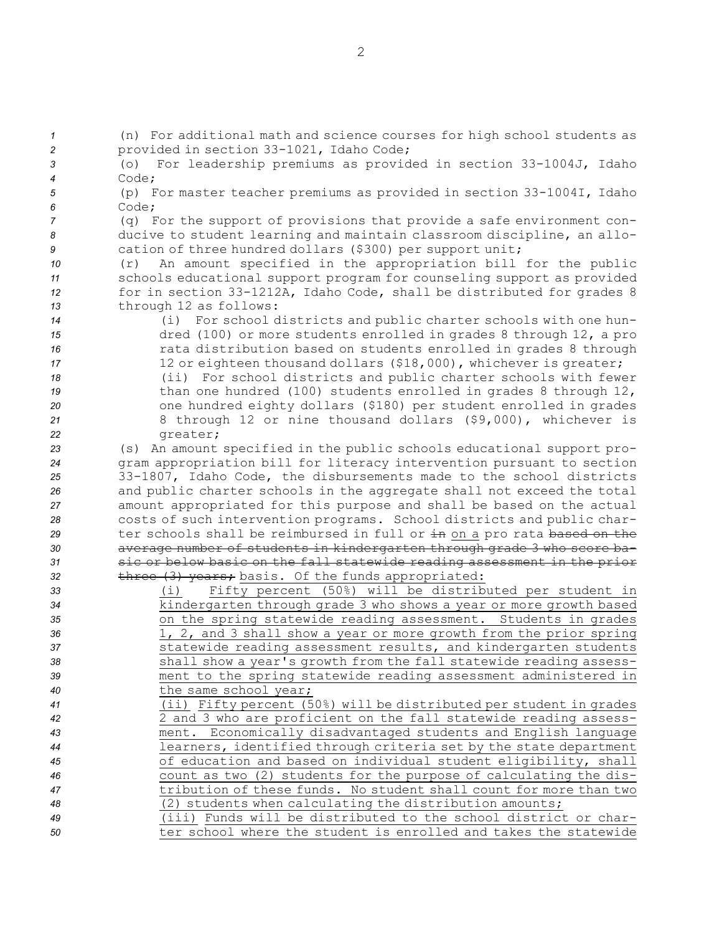(n) For additional math and science courses for high school students as provided in section 33-1021, Idaho Code; (o) For leadership premiums as provided in section 33-1004J, Idaho *4* Code; (p) For master teacher premiums as provided in section 33-1004I, Idaho *6* Code; (q) For the support of provisions that provide <sup>a</sup> safe environment con- ducive to student learning and maintain classroom discipline, an allo- cation of three hundred dollars (\$300) per support unit; (r) An amount specified in the appropriation bill for the public schools educational support program for counseling support as provided for in section 33-1212A, Idaho Code, shall be distributed for grades 8 through 12 as follows: (i) For school districts and public charter schools with one hun- dred (100) or more students enrolled in grades 8 through 12, <sup>a</sup> pro rata distribution based on students enrolled in grades 8 through 17 12 or eighteen thousand dollars (\$18,000), whichever is greater; (ii) For school districts and public charter schools with fewer than one hundred (100) students enrolled in grades 8 through 12, one hundred eighty dollars (\$180) per student enrolled in grades 8 through 12 or nine thousand dollars (\$9,000), whichever is *<sup>22</sup>* greater; (s) An amount specified in the public schools educational support pro- gram appropriation bill for literacy intervention pursuant to section 33-1807, Idaho Code, the disbursements made to the school districts and public charter schools in the aggregate shall not exceed the total amount appropriated for this purpose and shall be based on the actual costs of such intervention programs. School districts and public char- ter schools shall be reimbursed in full or in on <sup>a</sup> pro rata based on the average number of students in kindergarten through grade 3 who score ba- sic or below basic on the fall statewide reading assessment in the prior 32 three (3) years; basis. Of the funds appropriated: (i) Fifty percent (50%) will be distributed per student in kindergarten through grade 3 who shows <sup>a</sup> year or more growth based on the spring statewide reading assessment. Students in grades 1, 2, and 3 shall show <sup>a</sup> year or more growth from the prior spring statewide reading assessment results, and kindergarten students shall show <sup>a</sup> year's growth from the fall statewide reading assess- ment to the spring statewide reading assessment administered in the same school year; (ii) Fifty percent (50%) will be distributed per student in grades 2 and 3 who are proficient on the fall statewide reading assess- ment. Economically disadvantaged students and English language learners, identified through criteria set by the state department of education and based on individual student eligibility, shall count as two (2) students for the purpose of calculating the dis- tribution of these funds. No student shall count for more than two (2) students when calculating the distribution amounts; (iii) Funds will be distributed to the school district or char-ter school where the student is enrolled and takes the statewide

2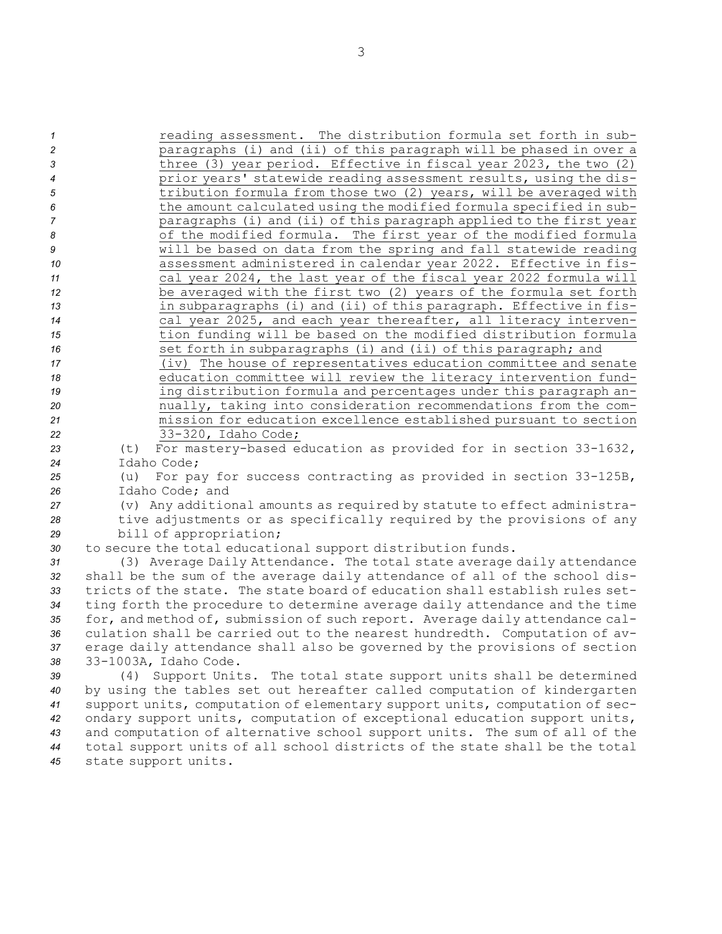*reading assessment.* The distribution formula set forth in sub- paragraphs (i) and (ii) of this paragraph will be phased in over <sup>a</sup> three (3) year period. Effective in fiscal year 2023, the two (2) prior years' statewide reading assessment results, using the dis-**120 tribution formula from those two (2) years, will be averaged with**  the amount calculated using the modified formula specified in sub- paragraphs (i) and (ii) of this paragraph applied to the first year 8 of the modified formula. The first year of the modified formula will be based on data from the spring and fall statewide reading assessment administered in calendar year 2022. Effective in fis- cal year 2024, the last year of the fiscal year 2022 formula will be averaged with the first two (2) years of the formula set forth in subparagraphs (i) and (ii) of this paragraph. Effective in fis- cal year 2025, and each year thereafter, all literacy interven- tion funding will be based on the modified distribution formula **16** set forth in subparagraphs (i) and (ii) of this paragraph; and (iv) The house of representatives education committee and senate education committee will review the literacy intervention fund- ing distribution formula and percentages under this paragraph an- nually, taking into consideration recommendations from the com- mission for education excellence established pursuant to section 33-320, Idaho Code; (t) For mastery-based education as provided for in section 33-1632, Idaho Code; (u) For pay for success contracting as provided in section 33-125B, Idaho Code; and (v) Any additional amounts as required by statute to effect administra- tive adjustments or as specifically required by the provisions of any bill of appropriation; to secure the total educational support distribution funds. (3) Average Daily Attendance. The total state average daily attendance shall be the sum of the average daily attendance of all of the school dis- tricts of the state. The state board of education shall establish rules set- ting forth the procedure to determine average daily attendance and the time for, and method of, submission of such report. Average daily attendance cal- culation shall be carried out to the nearest hundredth. Computation of av- erage daily attendance shall also be governed by the provisions of section 33-1003A, Idaho Code. (4) Support Units. The total state support units shall be determined

 by using the tables set out hereafter called computation of kindergarten support units, computation of elementary support units, computation of sec- ondary support units, computation of exceptional education support units, and computation of alternative school support units. The sum of all of the total support units of all school districts of the state shall be the total state support units.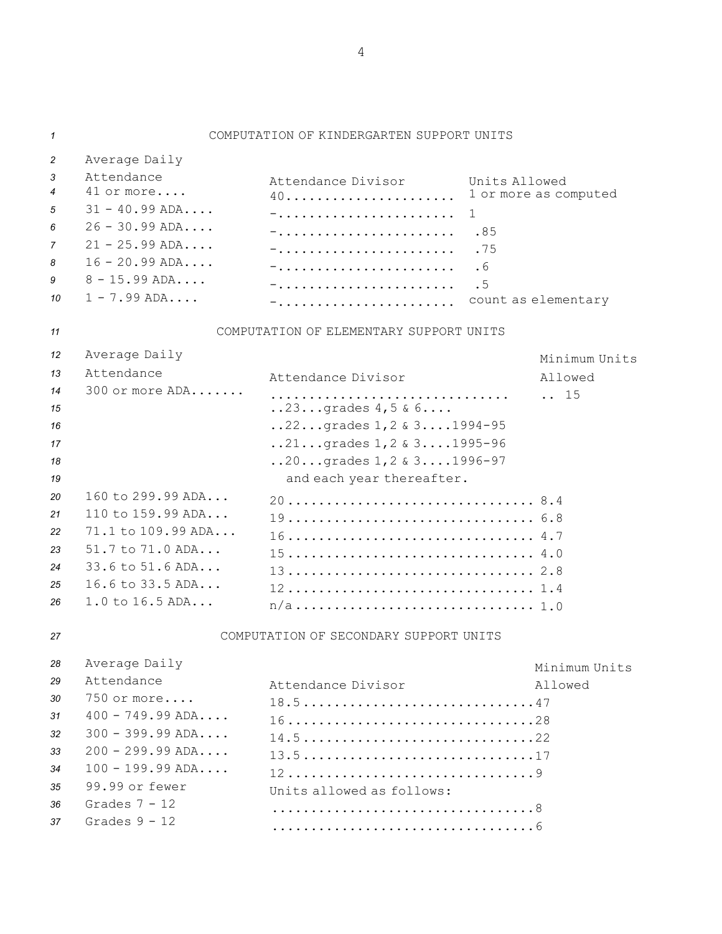*1* COMPUTATION OF KINDERGARTEN SUPPORT UNITS *<sup>2</sup>* Average Daily *3* Attendance Attendance Divisor Units Allowed *4* 41 or more.... 40...................... 1 or more as computed *5* 31 - 40.99 ADA.... -....................... 1 *6* 26 - 30.99 ADA.... -....................... .85 *7* 21 - 25.99 ADA.... -....................... .75 *8* 16 - 20.99 ADA.... -....................... .6 *9* 8 - 15.99 ADA.... -....................... .5 *10* 1 - 7.99 ADA.... -....................... count as elementary *11* COMPUTATION OF ELEMENTARY SUPPORT UNITS *<sup>12</sup>* Average Daily Minimum Units *13* Attendance Attendance Divisor Allowed *14* 300 or more ADA....... ............................... .. 15 *<sup>15</sup>* ..23...grades 4,5 & 6.... *<sup>16</sup>* ..22...grades 1,2 & 3....1994-95 *<sup>17</sup>* ..21...grades 1,2 & 3....1995-96 *<sup>18</sup>* ..20...grades 1,2 & 3....1996-97 19 **19 and each year thereafter.** *20* 160 to 299.99 ADA... 20................................ 8.4 *21* 110 to 159.99 ADA... 19................................ 6.8 *22* 71.1 to 109.99 ADA... 16................................ 4.7 *23* 51.7 to 71.0 ADA... 15................................ 4.0 *24* 33.6 to 51.6 ADA... 13................................ 2.8 *25* 16.6 to 33.5 ADA... 12................................ 1.4 *<sup>26</sup>* 1.0 to 16.5 ADA... n/a............................... 1.0 *27* COMPUTATION OF SECONDARY SUPPORT UNITS *<sup>28</sup>* Average Daily Minimum Units *29* Attendance Attendance Divisor **Allowed** *30* 750 or more.... 18.5..............................47 *31* 400 - 749.99 ADA.... 16................................28 *32* 300 - 399.99 ADA.... 14.5..............................22 *33* 200 - 299.99 ADA.... 13.5..............................17 *34* 100 - 199.99 ADA.... 12................................9 *35* 99.99 or fewer Units allowed as follows: *36* Grades 7 - 12 ..................................8 *37* Grades 9 - 12 ..................................6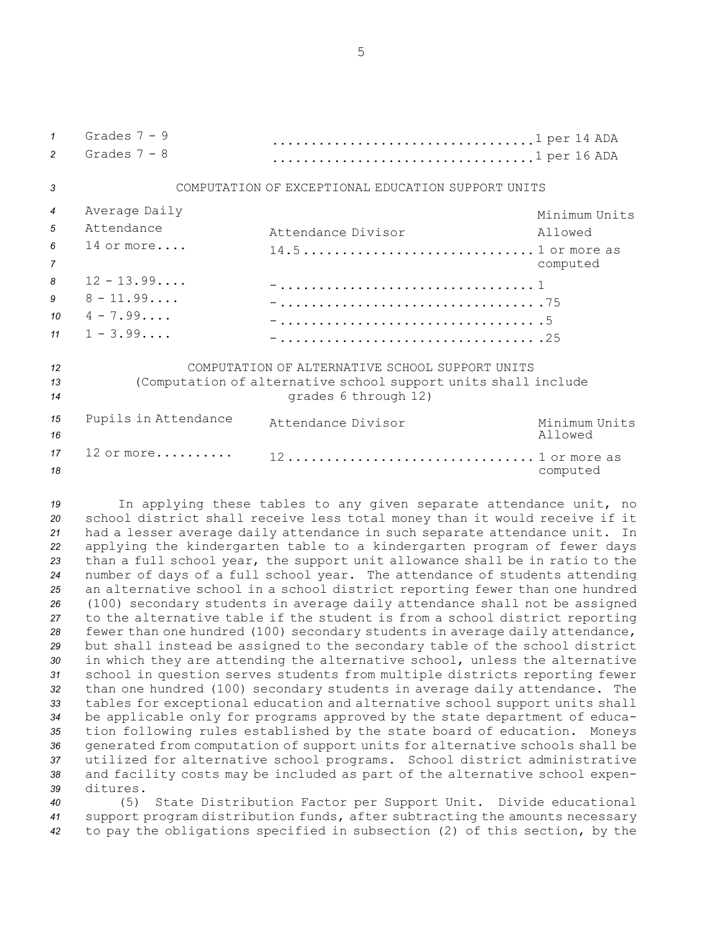5

| $\mathbf{1}$     | Grades $7 - 9$                                                 | 1 per 14 ADA         |               |  |
|------------------|----------------------------------------------------------------|----------------------|---------------|--|
| $\mathfrak{p}$   | Grades $7 - 8$                                                 | 1 per 16 ADA         |               |  |
|                  |                                                                |                      |               |  |
| 3                | COMPUTATION OF EXCEPTIONAL EDUCATION SUPPORT UNITS             |                      |               |  |
| $\overline{4}$   | Average Daily                                                  |                      | Minimum Units |  |
| $\overline{5}$   | Attendance                                                     | Attendance Divisor   | Allowed       |  |
| 6                | $14$ or more                                                   |                      |               |  |
|                  |                                                                |                      |               |  |
| $\overline{7}$   |                                                                |                      | computed      |  |
| 8                | $12 - 13.99$                                                   |                      |               |  |
| 9                | $8 - 11.99$                                                    |                      |               |  |
| 10 <sup>10</sup> | $4 - 7.99$                                                     |                      |               |  |
| 11               | $1 - 3.99$                                                     |                      |               |  |
|                  |                                                                |                      |               |  |
| 12               | COMPUTATION OF ALTERNATIVE SCHOOL SUPPORT UNITS                |                      |               |  |
| 13               | (Computation of alternative school support units shall include |                      |               |  |
| 14               |                                                                | grades 6 through 12) |               |  |
| 15               | Pupils in Attendance                                           | Attendance Divisor   | Minimum Units |  |
| 16               |                                                                |                      | Allowed       |  |
| 17               | 12 or more                                                     |                      |               |  |
|                  |                                                                | 12 1 or more as      |               |  |
| 18               |                                                                |                      | computed      |  |

 In applying these tables to any given separate attendance unit, no school district shall receive less total money than it would receive if it had <sup>a</sup> lesser average daily attendance in such separate attendance unit. In applying the kindergarten table to <sup>a</sup> kindergarten program of fewer days than <sup>a</sup> full school year, the support unit allowance shall be in ratio to the number of days of <sup>a</sup> full school year. The attendance of students attending an alternative school in <sup>a</sup> school district reporting fewer than one hundred (100) secondary students in average daily attendance shall not be assigned to the alternative table if the student is from <sup>a</sup> school district reporting fewer than one hundred (100) secondary students in average daily attendance, but shall instead be assigned to the secondary table of the school district in which they are attending the alternative school, unless the alternative school in question serves students from multiple districts reporting fewer than one hundred (100) secondary students in average daily attendance. The tables for exceptional education and alternative school support units shall be applicable only for programs approved by the state department of educa- tion following rules established by the state board of education. Moneys generated from computation of support units for alternative schools shall be utilized for alternative school programs. School district administrative and facility costs may be included as part of the alternative school expen-*39* ditures.

*<sup>40</sup>* (5) State Distribution Factor per Support Unit. Divide educational *<sup>41</sup>* support program distribution funds, after subtracting the amounts necessary *<sup>42</sup>* to pay the obligations specified in subsection (2) of this section, by the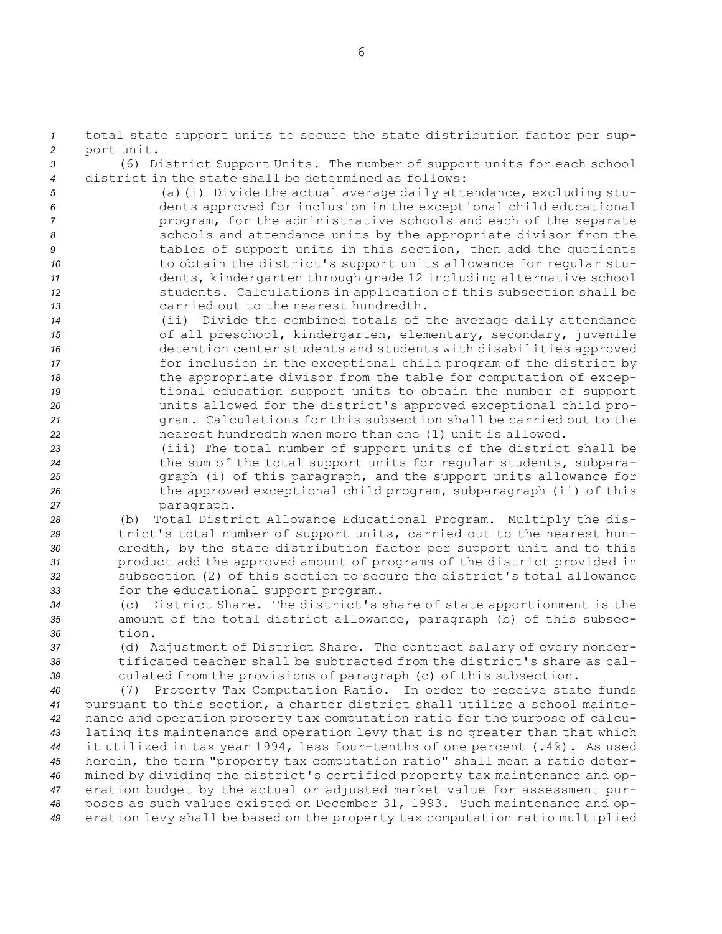*<sup>1</sup>* total state support units to secure the state distribution factor per sup-*<sup>2</sup>* port unit.

*<sup>3</sup>* (6) District Support Units. The number of support units for each school *4* district in the state shall be determined as follows:

 (a)(i) Divide the actual average daily attendance, excluding stu- dents approved for inclusion in the exceptional child educational program, for the administrative schools and each of the separate schools and attendance units by the appropriate divisor from the tables of support units in this section, then add the quotients 10 to obtain the district's support units allowance for regular stu- dents, kindergarten through grade 12 including alternative school students. Calculations in application of this subsection shall be carried out to the nearest hundredth.

- *<sup>14</sup>* (ii) Divide the combined totals of the average daily attendance *<sup>15</sup>* of all preschool, kindergarten, elementary, secondary, juvenile *<sup>16</sup>* detention center students and students with disabilities approved *<sup>17</sup>* for inclusion in the exceptional child program of the district by *<sup>18</sup>* the appropriate divisor from the table for computation of excep-*<sup>19</sup>* tional education support units to obtain the number of support *<sup>20</sup>* units allowed for the district's approved exceptional child pro-*<sup>21</sup>* gram. Calculations for this subsection shall be carried out to the *<sup>22</sup>* nearest hundredth when more than one (1) unit is allowed.
- *<sup>23</sup>* (iii) The total number of support units of the district shall be *<sup>24</sup>* the sum of the total support units for regular students, subpara-*<sup>25</sup>* graph (i) of this paragraph, and the support units allowance for *<sup>26</sup>* the approved exceptional child program, subparagraph (ii) of this *<sup>27</sup>* paragraph.

 (b) Total District Allowance Educational Program. Multiply the dis- trict's total number of support units, carried out to the nearest hun- dredth, by the state distribution factor per support unit and to this product add the approved amount of programs of the district provided in subsection (2) of this section to secure the district's total allowance for the educational support program.

*<sup>34</sup>* (c) District Share. The district's share of state apportionment is the *<sup>35</sup>* amount of the total district allowance, paragraph (b) of this subsec-*36* tion.

*<sup>37</sup>* (d) Adjustment of District Share. The contract salary of every noncer-*38* tificated teacher shall be subtracted from the district's share as cal-*<sup>39</sup>* culated from the provisions of paragraph (c) of this subsection.

 (7) Property Tax Computation Ratio. In order to receive state funds pursuant to this section, <sup>a</sup> charter district shall utilize <sup>a</sup> school mainte- nance and operation property tax computation ratio for the purpose of calcu- lating its maintenance and operation levy that is no greater than that which it utilized in tax year 1994, less four-tenths of one percent (.4%). As used herein, the term "property tax computation ratio" shall mean <sup>a</sup> ratio deter- mined by dividing the district's certified property tax maintenance and op- eration budget by the actual or adjusted market value for assessment pur- poses as such values existed on December 31, 1993. Such maintenance and op-eration levy shall be based on the property tax computation ratio multiplied